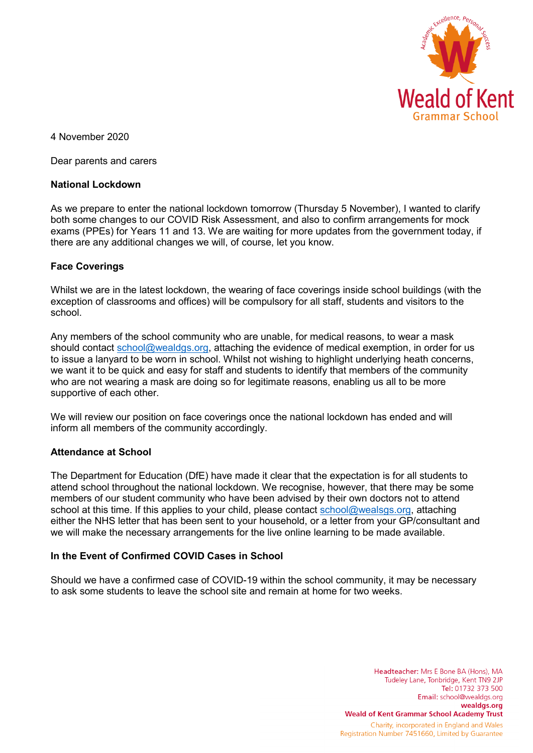

4 November 2020

Dear parents and carers

#### **National Lockdown**

As we prepare to enter the national lockdown tomorrow (Thursday 5 November), I wanted to clarify both some changes to our COVID Risk Assessment, and also to confirm arrangements for mock exams (PPEs) for Years 11 and 13. We are waiting for more updates from the government today, if there are any additional changes we will, of course, let you know.

### **Face Coverings**

Whilst we are in the latest lockdown, the wearing of face coverings inside school buildings (with the exception of classrooms and offices) will be compulsory for all staff, students and visitors to the school.

Any members of the school community who are unable, for medical reasons, to wear a mask should contact [school@wealdgs.org,](mailto:school@wealdgs.org) attaching the evidence of medical exemption, in order for us to issue a lanyard to be worn in school. Whilst not wishing to highlight underlying heath concerns, we want it to be quick and easy for staff and students to identify that members of the community who are not wearing a mask are doing so for legitimate reasons, enabling us all to be more supportive of each other.

We will review our position on face coverings once the national lockdown has ended and will inform all members of the community accordingly.

### **Attendance at School**

The Department for Education (DfE) have made it clear that the expectation is for all students to attend school throughout the national lockdown. We recognise, however, that there may be some members of our student community who have been advised by their own doctors not to attend school at this time. If this applies to your child, please contact [school@wealsgs.org,](mailto:school@wealsgs.org) attaching either the NHS letter that has been sent to your household, or a letter from your GP/consultant and we will make the necessary arrangements for the live online learning to be made available.

### **In the Event of Confirmed COVID Cases in School**

Should we have a confirmed case of COVID-19 within the school community, it may be necessary to ask some students to leave the school site and remain at home for two weeks.

> Headteacher: Mrs E Bone BA (Hons), MA Tudeley Lane, Tonbridge, Kent TN9 2JP Tel: 01732 373 500 Email: school@wealdgs.org wealdgs.org **Weald of Kent Grammar School Academy Trust** Charity, incorporated in England and Wales Registration Number 7451660, Limited by Guarantee